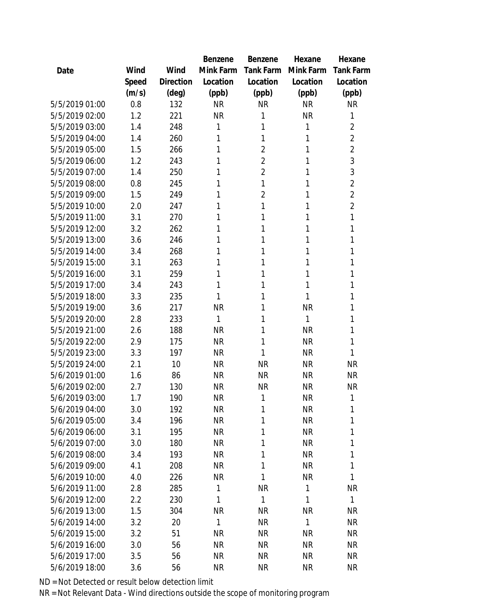|                |       |           | Benzene   | Benzene          | Hexane    | Hexane           |
|----------------|-------|-----------|-----------|------------------|-----------|------------------|
| Date           | Wind  | Wind      | Mink Farm | <b>Tank Farm</b> | Mink Farm | <b>Tank Farm</b> |
|                | Speed | Direction | Location  | Location         | Location  | Location         |
|                | (m/s) | (deg)     | (ppb)     | (ppb)            | (ppb)     | (ppb)            |
| 5/5/2019 01:00 | 0.8   | 132       | <b>NR</b> | <b>NR</b>        | <b>NR</b> | <b>NR</b>        |
| 5/5/2019 02:00 | 1.2   | 221       | <b>NR</b> | 1                | <b>NR</b> | 1                |
| 5/5/2019 03:00 | 1.4   | 248       | 1         | 1                | 1         | $\overline{2}$   |
| 5/5/2019 04:00 | 1.4   | 260       | 1         | 1                | 1         | $\overline{2}$   |
| 5/5/2019 05:00 | 1.5   | 266       | 1         | $\overline{2}$   | 1         | $\overline{2}$   |
| 5/5/2019 06:00 | 1.2   | 243       | 1         | $\overline{2}$   | 1         | 3                |
| 5/5/2019 07:00 | 1.4   | 250       | 1         | $\overline{2}$   | 1         | 3                |
| 5/5/2019 08:00 | 0.8   | 245       | 1         | 1                | 1         | $\overline{2}$   |
| 5/5/2019 09:00 | 1.5   | 249       | 1         | $\overline{2}$   | 1         | $\overline{2}$   |
| 5/5/2019 10:00 | 2.0   | 247       | 1         | 1                | 1         | $\overline{2}$   |
| 5/5/2019 11:00 | 3.1   | 270       | 1         | 1                | 1         | 1                |
| 5/5/2019 12:00 | 3.2   | 262       | 1         | 1                | 1         | 1                |
| 5/5/2019 13:00 | 3.6   | 246       | 1         | 1                | 1         | 1                |
| 5/5/2019 14:00 | 3.4   | 268       | 1         | 1                | 1         | 1                |
| 5/5/2019 15:00 | 3.1   | 263       | 1         | 1                | 1         | 1                |
| 5/5/2019 16:00 | 3.1   | 259       | 1         | 1                | 1         | 1                |
| 5/5/2019 17:00 | 3.4   | 243       | 1         | 1                | 1         | 1                |
| 5/5/2019 18:00 | 3.3   | 235       | 1         | 1                | 1         | 1                |
| 5/5/2019 19:00 | 3.6   | 217       | <b>NR</b> | 1                | <b>NR</b> | 1                |
| 5/5/2019 20:00 | 2.8   | 233       | 1         | 1                | 1         | 1                |
| 5/5/2019 21:00 | 2.6   | 188       | <b>NR</b> | 1                | <b>NR</b> | 1                |
| 5/5/2019 22:00 | 2.9   | 175       | <b>NR</b> | 1                | <b>NR</b> | 1                |
| 5/5/2019 23:00 | 3.3   | 197       | <b>NR</b> | 1                | <b>NR</b> | 1                |
| 5/5/2019 24:00 | 2.1   | 10        | <b>NR</b> | <b>NR</b>        | <b>NR</b> | <b>NR</b>        |
| 5/6/2019 01:00 | 1.6   | 86        | <b>NR</b> | <b>NR</b>        | <b>NR</b> | <b>NR</b>        |
| 5/6/2019 02:00 | 2.7   | 130       | <b>NR</b> | <b>NR</b>        | <b>NR</b> | <b>NR</b>        |
| 5/6/2019 03:00 | 1.7   | 190       | <b>NR</b> | 1                | <b>NR</b> | 1                |
| 5/6/2019 04:00 | 3.0   | 192       | <b>NR</b> | 1                | NR        | 1                |
| 5/6/2019 05:00 | 3.4   | 196       | <b>NR</b> | 1                | <b>NR</b> | 1                |
| 5/6/2019 06:00 | 3.1   | 195       | <b>NR</b> | 1                | <b>NR</b> | 1                |
| 5/6/2019 07:00 | 3.0   | 180       | <b>NR</b> | 1                | <b>NR</b> | 1                |
| 5/6/2019 08:00 | 3.4   | 193       | <b>NR</b> | 1                | <b>NR</b> | 1                |
| 5/6/2019 09:00 | 4.1   | 208       | <b>NR</b> | 1                | <b>NR</b> | 1                |
| 5/6/2019 10:00 | 4.0   | 226       | <b>NR</b> | 1                | <b>NR</b> | 1                |
| 5/6/2019 11:00 | 2.8   | 285       | 1         | <b>NR</b>        | 1         | <b>NR</b>        |
| 5/6/2019 12:00 | 2.2   | 230       | 1         | 1                | 1         | 1                |
| 5/6/2019 13:00 | 1.5   | 304       | <b>NR</b> | <b>NR</b>        | <b>NR</b> | <b>NR</b>        |
| 5/6/2019 14:00 | 3.2   | 20        | 1         | <b>NR</b>        | 1         | <b>NR</b>        |
| 5/6/2019 15:00 | 3.2   | 51        | <b>NR</b> | <b>NR</b>        | NR        | <b>NR</b>        |
| 5/6/2019 16:00 | 3.0   | 56        | <b>NR</b> | <b>NR</b>        | <b>NR</b> | NR               |
| 5/6/2019 17:00 | 3.5   | 56        | <b>NR</b> | <b>NR</b>        | <b>NR</b> | <b>NR</b>        |
| 5/6/2019 18:00 | 3.6   | 56        | <b>NR</b> | <b>NR</b>        | <b>NR</b> | <b>NR</b>        |
|                |       |           |           |                  |           |                  |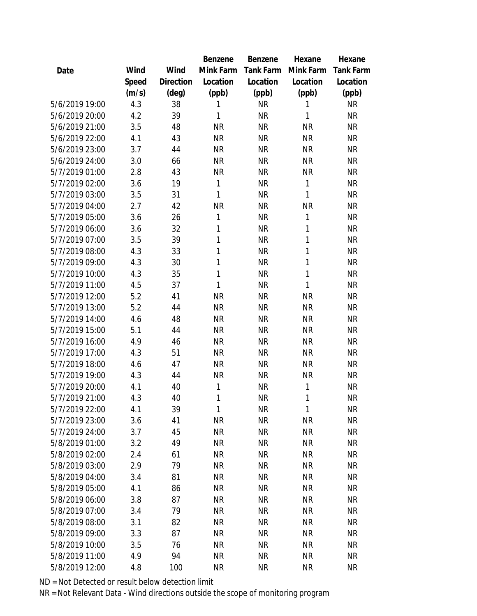|                |       |           | Benzene      | Benzene   | Hexane    | Hexane    |
|----------------|-------|-----------|--------------|-----------|-----------|-----------|
| Date           | Wind  | Wind      | Mink Farm    | Tank Farm | Mink Farm | Tank Farm |
|                | Speed | Direction | Location     | Location  | Location  | Location  |
|                | (m/s) | (deg)     | (ppb)        | (ppb)     | (ppb)     | (ppb)     |
| 5/6/2019 19:00 | 4.3   | 38        | 1            | <b>NR</b> | 1         | <b>NR</b> |
| 5/6/2019 20:00 | 4.2   | 39        | 1            | <b>NR</b> | 1         | <b>NR</b> |
| 5/6/2019 21:00 | 3.5   | 48        | <b>NR</b>    | <b>NR</b> | <b>NR</b> | <b>NR</b> |
| 5/6/2019 22:00 | 4.1   | 43        | <b>NR</b>    | <b>NR</b> | <b>NR</b> | <b>NR</b> |
| 5/6/2019 23:00 | 3.7   | 44        | <b>NR</b>    | <b>NR</b> | <b>NR</b> | <b>NR</b> |
| 5/6/2019 24:00 | 3.0   | 66        | <b>NR</b>    | <b>NR</b> | <b>NR</b> | <b>NR</b> |
| 5/7/2019 01:00 | 2.8   | 43        | <b>NR</b>    | <b>NR</b> | <b>NR</b> | <b>NR</b> |
| 5/7/2019 02:00 | 3.6   | 19        | 1            | <b>NR</b> | 1         | <b>NR</b> |
| 5/7/2019 03:00 | 3.5   | 31        | 1            | <b>NR</b> | 1         | <b>NR</b> |
| 5/7/2019 04:00 | 2.7   | 42        | <b>NR</b>    | <b>NR</b> | ΝR        | <b>NR</b> |
| 5/7/2019 05:00 | 3.6   | 26        | 1            | <b>NR</b> | 1         | <b>NR</b> |
| 5/7/2019 06:00 | 3.6   | 32        | 1            | <b>NR</b> | 1         | <b>NR</b> |
| 5/7/2019 07:00 | 3.5   | 39        | 1            | <b>NR</b> | 1         | <b>NR</b> |
| 5/7/2019 08:00 | 4.3   | 33        | 1            | <b>NR</b> | 1         | <b>NR</b> |
| 5/7/2019 09:00 | 4.3   | 30        | 1            | <b>NR</b> | 1         | <b>NR</b> |
| 5/7/2019 10:00 | 4.3   | 35        | $\mathbf{1}$ | <b>NR</b> | 1         | <b>NR</b> |
| 5/7/2019 11:00 | 4.5   | 37        | 1            | <b>NR</b> | 1         | <b>NR</b> |
| 5/7/2019 12:00 | 5.2   | 41        | <b>NR</b>    | <b>NR</b> | <b>NR</b> | <b>NR</b> |
| 5/7/2019 13:00 | 5.2   | 44        | <b>NR</b>    | <b>NR</b> | <b>NR</b> | <b>NR</b> |
| 5/7/2019 14:00 | 4.6   | 48        | <b>NR</b>    | <b>NR</b> | <b>NR</b> | <b>NR</b> |
| 5/7/2019 15:00 | 5.1   | 44        | <b>NR</b>    | <b>NR</b> | <b>NR</b> | <b>NR</b> |
| 5/7/2019 16:00 | 4.9   | 46        | <b>NR</b>    | <b>NR</b> | <b>NR</b> | <b>NR</b> |
| 5/7/2019 17:00 | 4.3   | 51        | <b>NR</b>    | <b>NR</b> | <b>NR</b> | <b>NR</b> |
| 5/7/2019 18:00 | 4.6   | 47        | <b>NR</b>    | <b>NR</b> | <b>NR</b> | <b>NR</b> |
| 5/7/2019 19:00 | 4.3   | 44        | <b>NR</b>    | <b>NR</b> | <b>NR</b> | <b>NR</b> |
| 5/7/2019 20:00 | 4.1   | 40        | 1            | <b>NR</b> | 1         | <b>NR</b> |
| 5/7/2019 21:00 | 4.3   | 40        | 1            | <b>NR</b> | 1         | <b>NR</b> |
| 5/7/2019 22:00 | 4.1   | 39        | 1            | <b>NR</b> | 1         | <b>NR</b> |
| 5/7/2019 23:00 | 3.6   | 41        | <b>NR</b>    | <b>NR</b> | <b>NR</b> | <b>NR</b> |
| 5/7/2019 24:00 | 3.7   | 45        | <b>NR</b>    | <b>NR</b> | <b>NR</b> | <b>NR</b> |
| 5/8/2019 01:00 | 3.2   | 49        | <b>NR</b>    | <b>NR</b> | <b>NR</b> | <b>NR</b> |
| 5/8/2019 02:00 | 2.4   | 61        | <b>NR</b>    | <b>NR</b> | <b>NR</b> | <b>NR</b> |
| 5/8/2019 03:00 | 2.9   | 79        | <b>NR</b>    | NR        | <b>NR</b> | <b>NR</b> |
| 5/8/2019 04:00 | 3.4   | 81        | <b>NR</b>    | <b>NR</b> | <b>NR</b> | <b>NR</b> |
| 5/8/2019 05:00 | 4.1   | 86        | <b>NR</b>    | NR        | <b>NR</b> | <b>NR</b> |
| 5/8/2019 06:00 | 3.8   | 87        | <b>NR</b>    | <b>NR</b> | <b>NR</b> | <b>NR</b> |
| 5/8/2019 07:00 | 3.4   | 79        | <b>NR</b>    | <b>NR</b> | <b>NR</b> | <b>NR</b> |
| 5/8/2019 08:00 | 3.1   | 82        | <b>NR</b>    | <b>NR</b> | <b>NR</b> | <b>NR</b> |
| 5/8/2019 09:00 | 3.3   | 87        | <b>NR</b>    | <b>NR</b> | <b>NR</b> | <b>NR</b> |
| 5/8/2019 10:00 | 3.5   | 76        | <b>NR</b>    | <b>NR</b> | <b>NR</b> | <b>NR</b> |
| 5/8/2019 11:00 | 4.9   | 94        | <b>NR</b>    | <b>NR</b> | <b>NR</b> | <b>NR</b> |
| 5/8/2019 12:00 | 4.8   | 100       | <b>NR</b>    | <b>NR</b> | <b>NR</b> | <b>NR</b> |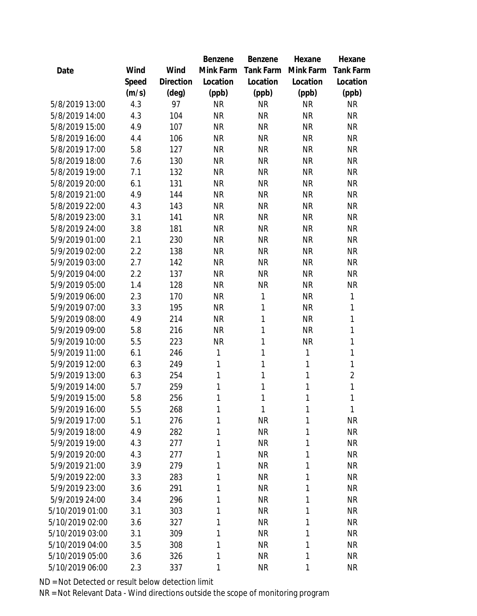|                 |       |                | Benzene      | Benzene   | Hexane       | Hexane           |
|-----------------|-------|----------------|--------------|-----------|--------------|------------------|
| Date            | Wind  | Wind           | Mink Farm    | Tank Farm | Mink Farm    | <b>Tank Farm</b> |
|                 | Speed | Direction      | Location     | Location  | Location     | Location         |
|                 | (m/s) | $(\text{deg})$ | (ppb)        | (ppb)     | (ppb)        | (ppb)            |
| 5/8/2019 13:00  | 4.3   | 97             | <b>NR</b>    | <b>NR</b> | <b>NR</b>    | <b>NR</b>        |
| 5/8/2019 14:00  | 4.3   | 104            | <b>NR</b>    | <b>NR</b> | <b>NR</b>    | <b>NR</b>        |
| 5/8/2019 15:00  | 4.9   | 107            | <b>NR</b>    | <b>NR</b> | <b>NR</b>    | <b>NR</b>        |
| 5/8/2019 16:00  | 4.4   | 106            | <b>NR</b>    | <b>NR</b> | <b>NR</b>    | <b>NR</b>        |
| 5/8/2019 17:00  | 5.8   | 127            | <b>NR</b>    | <b>NR</b> | <b>NR</b>    | <b>NR</b>        |
| 5/8/2019 18:00  | 7.6   | 130            | <b>NR</b>    | <b>NR</b> | <b>NR</b>    | <b>NR</b>        |
| 5/8/2019 19:00  | 7.1   | 132            | <b>NR</b>    | <b>NR</b> | <b>NR</b>    | <b>NR</b>        |
| 5/8/2019 20:00  | 6.1   | 131            | <b>NR</b>    | <b>NR</b> | <b>NR</b>    | <b>NR</b>        |
| 5/8/2019 21:00  | 4.9   | 144            | <b>NR</b>    | <b>NR</b> | <b>NR</b>    | <b>NR</b>        |
| 5/8/2019 22:00  | 4.3   | 143            | <b>NR</b>    | <b>NR</b> | <b>NR</b>    | <b>NR</b>        |
| 5/8/2019 23:00  | 3.1   | 141            | <b>NR</b>    | <b>NR</b> | <b>NR</b>    | <b>NR</b>        |
| 5/8/2019 24:00  | 3.8   | 181            | <b>NR</b>    | <b>NR</b> | <b>NR</b>    | <b>NR</b>        |
| 5/9/2019 01:00  | 2.1   | 230            | <b>NR</b>    | <b>NR</b> | <b>NR</b>    | <b>NR</b>        |
| 5/9/2019 02:00  | 2.2   | 138            | <b>NR</b>    | <b>NR</b> | <b>NR</b>    | <b>NR</b>        |
| 5/9/2019 03:00  | 2.7   | 142            | <b>NR</b>    | <b>NR</b> | <b>NR</b>    | <b>NR</b>        |
| 5/9/2019 04:00  | 2.2   | 137            | <b>NR</b>    | <b>NR</b> | <b>NR</b>    | <b>NR</b>        |
| 5/9/2019 05:00  | 1.4   | 128            | <b>NR</b>    | <b>NR</b> | <b>NR</b>    | <b>NR</b>        |
| 5/9/2019 06:00  | 2.3   | 170            | <b>NR</b>    | 1         | <b>NR</b>    | $\mathbf{1}$     |
| 5/9/2019 07:00  | 3.3   | 195            | <b>NR</b>    | 1         | <b>NR</b>    | $\mathbf{1}$     |
| 5/9/2019 08:00  | 4.9   | 214            | <b>NR</b>    | 1         | <b>NR</b>    | 1                |
| 5/9/2019 09:00  | 5.8   | 216            | <b>NR</b>    | 1         | <b>NR</b>    | 1                |
| 5/9/2019 10:00  | 5.5   | 223            | <b>NR</b>    | 1         | <b>NR</b>    | 1                |
| 5/9/2019 11:00  | 6.1   | 246            | $\mathbf{1}$ | 1         | $\mathbf{1}$ | 1                |
| 5/9/2019 12:00  | 6.3   | 249            | 1            | 1         | $\mathbf{1}$ | 1                |
| 5/9/2019 13:00  | 6.3   | 254            | 1            | 1         | $\mathbf{1}$ | $\overline{2}$   |
| 5/9/2019 14:00  | 5.7   | 259            | 1            | 1         | $\mathbf{1}$ | $\mathbf 1$      |
| 5/9/2019 15:00  | 5.8   | 256            | 1            | 1         | 1            | 1                |
| 5/9/2019 16:00  | 5.5   | 268            | 1            | 1         | 1            | 1                |
| 5/9/2019 17:00  | 5.1   | 276            | 1            | <b>NR</b> | 1            | <b>NR</b>        |
| 5/9/2019 18:00  | 4.9   | 282            | 1            | <b>NR</b> | 1            | <b>NR</b>        |
| 5/9/2019 19:00  | 4.3   | 277            | 1            | <b>NR</b> | 1            | <b>NR</b>        |
| 5/9/2019 20:00  | 4.3   | 277            | 1            | <b>NR</b> | 1            | <b>NR</b>        |
| 5/9/2019 21:00  | 3.9   | 279            | 1            | <b>NR</b> | 1            | <b>NR</b>        |
| 5/9/2019 22:00  | 3.3   | 283            | 1            | <b>NR</b> | 1            | <b>NR</b>        |
| 5/9/2019 23:00  | 3.6   | 291            | 1            | <b>NR</b> | 1            | <b>NR</b>        |
| 5/9/2019 24:00  | 3.4   | 296            | 1            | <b>NR</b> | 1            | <b>NR</b>        |
| 5/10/2019 01:00 | 3.1   | 303            | 1            | <b>NR</b> | 1            | <b>NR</b>        |
| 5/10/2019 02:00 | 3.6   | 327            | 1            | <b>NR</b> | 1            | <b>NR</b>        |
| 5/10/2019 03:00 | 3.1   | 309            | 1            | <b>NR</b> | 1            | <b>NR</b>        |
| 5/10/2019 04:00 | 3.5   | 308            | 1            | <b>NR</b> | 1            | <b>NR</b>        |
| 5/10/2019 05:00 | 3.6   | 326            | 1            | <b>NR</b> | 1            | <b>NR</b>        |
| 5/10/2019 06:00 | 2.3   | 337            | 1            | <b>NR</b> | 1            | <b>NR</b>        |